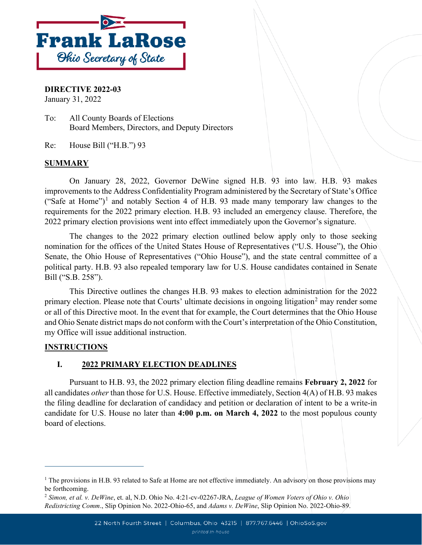

**DIRECTIVE 2022-03** January 31, 2022

To: All County Boards of Elections Board Members, Directors, and Deputy Directors

Re: House Bill ("H.B.") 93

#### **SUMMARY**

On January 28, 2022, Governor DeWine signed H.B. 93 into law. H.B. 93 makes improvements to the Address Confidentiality Program administered by the Secretary of State's Office ("Safe at Home")<sup>[1](#page-0-0)</sup> and notably Section 4 of H.B. 93 made many temporary law changes to the requirements for the 2022 primary election. H.B. 93 included an emergency clause. Therefore, the 2022 primary election provisions went into effect immediately upon the Governor's signature.

The changes to the 2022 primary election outlined below apply only to those seeking nomination for the offices of the United States House of Representatives ("U.S. House"), the Ohio Senate, the Ohio House of Representatives ("Ohio House"), and the state central committee of a political party. H.B. 93 also repealed temporary law for U.S. House candidates contained in Senate Bill ("S.B. 258").

This Directive outlines the changes H.B. 93 makes to election administration for the 2022 primary election. Please note that Courts' ultimate decisions in ongoing litigation<sup>[2](#page-0-1)</sup> may render some or all of this Directive moot. In the event that for example, the Court determines that the Ohio House and Ohio Senate district maps do not conform with the Court's interpretation of the Ohio Constitution, my Office will issue additional instruction.

### **INSTRUCTIONS**

### **I. 2022 PRIMARY ELECTION DEADLINES**

Pursuant to H.B. 93, the 2022 primary election filing deadline remains **February 2, 2022** for all candidates *other* than those for U.S. House. Effective immediately, Section 4(A) of H.B. 93 makes the filing deadline for declaration of candidacy and petition or declaration of intent to be a write-in candidate for U.S. House no later than **4:00 p.m. on March 4, 2022** to the most populous county board of elections.

<span id="page-0-0"></span><sup>&</sup>lt;sup>1</sup> The provisions in H.B. 93 related to Safe at Home are not effective immediately. An advisory on those provisions may be forthcoming.

<span id="page-0-1"></span><sup>2</sup> *Simon, et al. v. DeWine*, et. al, N.D. Ohio No. 4:21-cv-02267-JRA, *League of Women Voters of Ohio v. Ohio Redistricting Comm*., Slip Opinion No. 2022-Ohio-65, and *Adams v. DeWine*, Slip Opinion No. 2022-Ohio-89.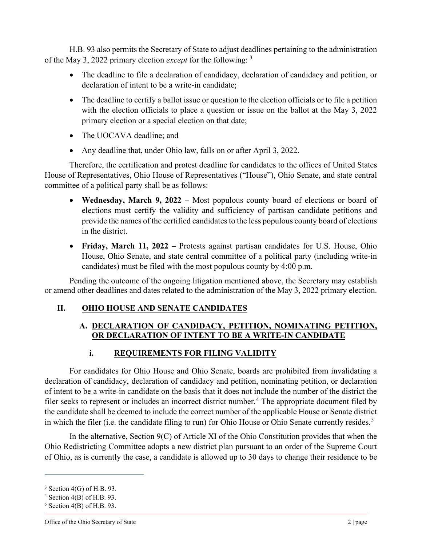H.B. 93 also permits the Secretary of State to adjust deadlines pertaining to the administration of the May 3, 2022 primary election *except* for the following: [3](#page-1-0)

- The deadline to file a declaration of candidacy, declaration of candidacy and petition, or declaration of intent to be a write-in candidate;
- The deadline to certify a ballot issue or question to the election officials or to file a petition with the election officials to place a question or issue on the ballot at the May 3, 2022 primary election or a special election on that date;
- The UOCAVA deadline; and
- Any deadline that, under Ohio law, falls on or after April 3, 2022.

Therefore, the certification and protest deadline for candidates to the offices of United States House of Representatives, Ohio House of Representatives ("House"), Ohio Senate, and state central committee of a political party shall be as follows:

- **Wednesday, March 9, 2022 –** Most populous county board of elections or board of elections must certify the validity and sufficiency of partisan candidate petitions and provide the names of the certified candidates to the less populous county board of elections in the district.
- **Friday, March 11, 2022 –** Protests against partisan candidates for U.S. House, Ohio House, Ohio Senate, and state central committee of a political party (including write-in candidates) must be filed with the most populous county by 4:00 p.m.

Pending the outcome of the ongoing litigation mentioned above, the Secretary may establish or amend other deadlines and dates related to the administration of the May 3, 2022 primary election.

# **II. OHIO HOUSE AND SENATE CANDIDATES**

## **A. DECLARATION OF CANDIDACY, PETITION, NOMINATING PETITION, OR DECLARATION OF INTENT TO BE A WRITE-IN CANDIDATE**

# **i. REQUIREMENTS FOR FILING VALIDITY**

For candidates for Ohio House and Ohio Senate, boards are prohibited from invalidating a declaration of candidacy, declaration of candidacy and petition, nominating petition, or declaration of intent to be a write-in candidate on the basis that it does not include the number of the district the filer seeks to represent or includes an incorrect district number.<sup>[4](#page-1-1)</sup> The appropriate document filed by the candidate shall be deemed to include the correct number of the applicable House or Senate district in which the filer (i.e. the candidate filing to run) for Ohio House or Ohio Senate currently resides.<sup>[5](#page-1-2)</sup>

In the alternative, Section 9(C) of Article XI of the Ohio Constitution provides that when the Ohio Redistricting Committee adopts a new district plan pursuant to an order of the Supreme Court of Ohio, as is currently the case, a candidate is allowed up to 30 days to change their residence to be

<span id="page-1-0"></span><sup>&</sup>lt;sup>3</sup> Section 4(G) of H.B. 93.<br><sup>4</sup> Section 4(B) of H.B. 93.

<span id="page-1-1"></span>

<span id="page-1-2"></span> $<sup>5</sup>$  Section 4(B) of H.B. 93.</sup>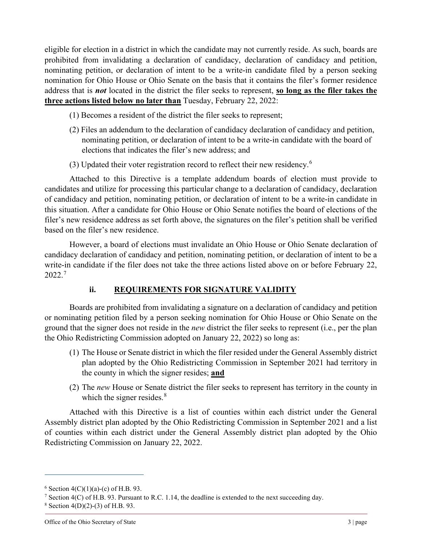eligible for election in a district in which the candidate may not currently reside. As such, boards are prohibited from invalidating a declaration of candidacy, declaration of candidacy and petition, nominating petition, or declaration of intent to be a write-in candidate filed by a person seeking nomination for Ohio House or Ohio Senate on the basis that it contains the filer's former residence address that is *not* located in the district the filer seeks to represent, **so long as the filer takes the three actions listed below no later than** Tuesday, February 22, 2022:

- (1) Becomes a resident of the district the filer seeks to represent;
- (2) Files an addendum to the declaration of candidacy declaration of candidacy and petition, nominating petition, or declaration of intent to be a write-in candidate with the board of elections that indicates the filer's new address; and
- (3) Updated their voter registration record to reflect their new residency.<sup>[6](#page-2-0)</sup>

Attached to this Directive is a template addendum boards of election must provide to candidates and utilize for processing this particular change to a declaration of candidacy, declaration of candidacy and petition, nominating petition, or declaration of intent to be a write-in candidate in this situation. After a candidate for Ohio House or Ohio Senate notifies the board of elections of the filer's new residence address as set forth above, the signatures on the filer's petition shall be verified based on the filer's new residence.

However, a board of elections must invalidate an Ohio House or Ohio Senate declaration of candidacy declaration of candidacy and petition, nominating petition, or declaration of intent to be a write-in candidate if the filer does not take the three actions listed above on or before February 22, 2022.[7](#page-2-1)

# **ii. REQUIREMENTS FOR SIGNATURE VALIDITY**

Boards are prohibited from invalidating a signature on a declaration of candidacy and petition or nominating petition filed by a person seeking nomination for Ohio House or Ohio Senate on the ground that the signer does not reside in the *new* district the filer seeks to represent (i.e., per the plan the Ohio Redistricting Commission adopted on January 22, 2022) so long as:

- (1) The House or Senate district in which the filer resided under the General Assembly district plan adopted by the Ohio Redistricting Commission in September 2021 had territory in the county in which the signer resides; **and**
- (2) The *new* House or Senate district the filer seeks to represent has territory in the county in which the signer resides. $8$

Attached with this Directive is a list of counties within each district under the General Assembly district plan adopted by the Ohio Redistricting Commission in September 2021 and a list of counties within each district under the General Assembly district plan adopted by the Ohio Redistricting Commission on January 22, 2022.

<span id="page-2-1"></span><span id="page-2-0"></span><sup>&</sup>lt;sup>6</sup> Section 4(C)(1)(a)-(c) of H.B. 93.<br><sup>7</sup> Section 4(C) of H.B. 93. Pursuant to R.C. 1.14, the deadline is extended to the next succeeding day.

<span id="page-2-2"></span> $8$  Section 4(D)(2)-(3) of H.B. 93.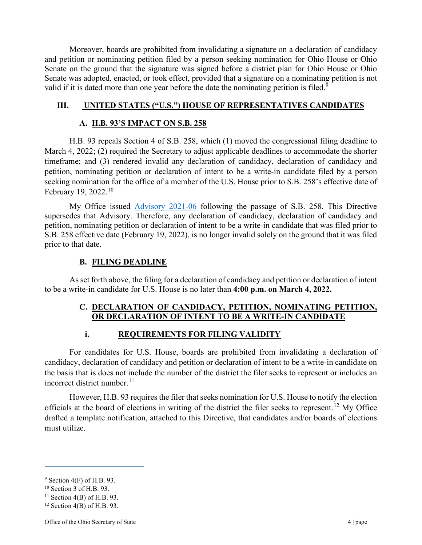Moreover, boards are prohibited from invalidating a signature on a declaration of candidacy and petition or nominating petition filed by a person seeking nomination for Ohio House or Ohio Senate on the ground that the signature was signed before a district plan for Ohio House or Ohio Senate was adopted, enacted, or took effect, provided that a signature on a nominating petition is not valid if it is dated more than one year before the date the nominating petition is filed.<sup>[9](#page-3-0)</sup>

#### **III. UNITED STATES ("U.S.") HOUSE OF REPRESENTATIVES CANDIDATES**

#### **A. H.B. 93'S IMPACT ON S.B. 258**

H.B. 93 repeals Section 4 of S.B. 258, which (1) moved the congressional filing deadline to March 4, 2022; (2) required the Secretary to adjust applicable deadlines to accommodate the shorter timeframe; and (3) rendered invalid any declaration of candidacy, declaration of candidacy and petition, nominating petition or declaration of intent to be a write-in candidate filed by a person seeking nomination for the office of a member of the U.S. House prior to S.B. 258's effective date of February 19, 2022.<sup>[10](#page-3-1)</sup>

My Office issued [Advisory 2021-06](https://www.sos.state.oh.us/globalassets/elections/advisories/2021/adv2021-06.pdf) following the passage of S.B. 258. This Directive supersedes that Advisory. Therefore, any declaration of candidacy, declaration of candidacy and petition, nominating petition or declaration of intent to be a write-in candidate that was filed prior to S.B. 258 effective date (February 19, 2022), is no longer invalid solely on the ground that it was filed prior to that date.

#### **B. FILING DEADLINE**

As set forth above, the filing for a declaration of candidacy and petition or declaration of intent to be a write-in candidate for U.S. House is no later than **4:00 p.m. on March 4, 2022.** 

### **C. DECLARATION OF CANDIDACY, PETITION, NOMINATING PETITION, OR DECLARATION OF INTENT TO BE A WRITE-IN CANDIDATE**

## **i. REQUIREMENTS FOR FILING VALIDITY**

For candidates for U.S. House, boards are prohibited from invalidating a declaration of candidacy, declaration of candidacy and petition or declaration of intent to be a write-in candidate on the basis that is does not include the number of the district the filer seeks to represent or includes an incorrect district number. $11$ 

However, H.B. 93 requires the filer that seeks nomination for U.S. House to notify the election officials at the board of elections in writing of the district the filer seeks to represent.<sup>[12](#page-3-3)</sup> My Office drafted a template notification, attached to this Directive, that candidates and/or boards of elections must utilize.

<span id="page-3-0"></span> $9$  Section 4(F) of H.B. 93.<br><sup>10</sup> Section 3 of H.B. 93.

<span id="page-3-1"></span>

<span id="page-3-2"></span> $11$  Section 4(B) of H.B. 93.

<span id="page-3-3"></span> $12$  Section 4(B) of H.B. 93.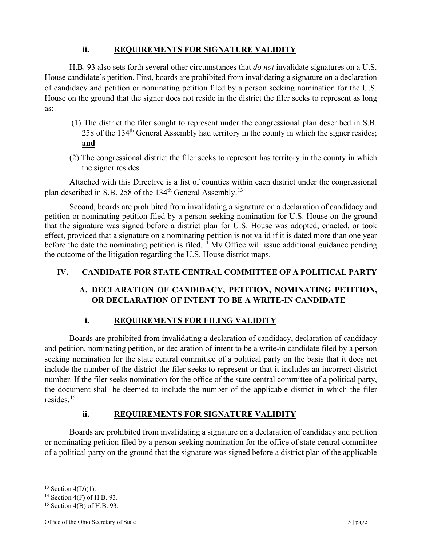## **ii. REQUIREMENTS FOR SIGNATURE VALIDITY**

H.B. 93 also sets forth several other circumstances that *do not* invalidate signatures on a U.S. House candidate's petition. First, boards are prohibited from invalidating a signature on a declaration of candidacy and petition or nominating petition filed by a person seeking nomination for the U.S. House on the ground that the signer does not reside in the district the filer seeks to represent as long as:

- (1) The district the filer sought to represent under the congressional plan described in S.B. 258 of the 134th General Assembly had territory in the county in which the signer resides; **and**
- (2) The congressional district the filer seeks to represent has territory in the county in which the signer resides.

Attached with this Directive is a list of counties within each district under the congressional plan described in S.B. 258 of the [13](#page-4-0)4<sup>th</sup> General Assembly.<sup>13</sup>

Second, boards are prohibited from invalidating a signature on a declaration of candidacy and petition or nominating petition filed by a person seeking nomination for U.S. House on the ground that the signature was signed before a district plan for U.S. House was adopted, enacted, or took effect, provided that a signature on a nominating petition is not valid if it is dated more than one year before the date the nominating petition is filed.<sup>[14](#page-4-1)</sup> My Office will issue additional guidance pending the outcome of the litigation regarding the U.S. House district maps.

# **IV. CANDIDATE FOR STATE CENTRAL COMMITTEE OF A POLITICAL PARTY**

# **A. DECLARATION OF CANDIDACY, PETITION, NOMINATING PETITION, OR DECLARATION OF INTENT TO BE A WRITE-IN CANDIDATE**

### **i. REQUIREMENTS FOR FILING VALIDITY**

Boards are prohibited from invalidating a declaration of candidacy, declaration of candidacy and petition, nominating petition, or declaration of intent to be a write-in candidate filed by a person seeking nomination for the state central committee of a political party on the basis that it does not include the number of the district the filer seeks to represent or that it includes an incorrect district number. If the filer seeks nomination for the office of the state central committee of a political party, the document shall be deemed to include the number of the applicable district in which the filer resides.[15](#page-4-2)

### **ii. REQUIREMENTS FOR SIGNATURE VALIDITY**

Boards are prohibited from invalidating a signature on a declaration of candidacy and petition or nominating petition filed by a person seeking nomination for the office of state central committee of a political party on the ground that the signature was signed before a district plan of the applicable

<span id="page-4-1"></span><span id="page-4-0"></span><sup>&</sup>lt;sup>13</sup> Section 4(D)(1).<br><sup>14</sup> Section 4(F) of H.B. 93.

<span id="page-4-2"></span> $15$  Section 4(B) of H.B. 93.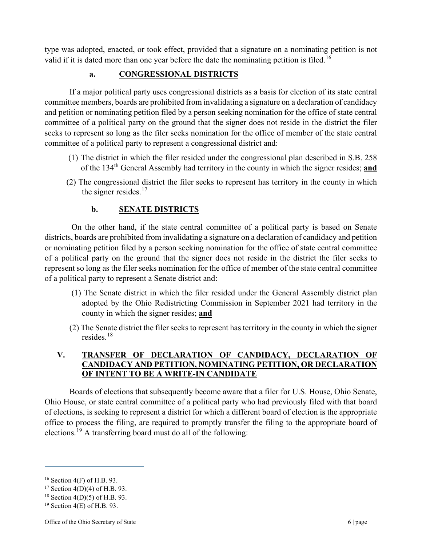type was adopted, enacted, or took effect, provided that a signature on a nominating petition is not valid if it is dated more than one year before the date the nominating petition is filed.<sup>[16](#page-5-0)</sup>

## **a. CONGRESSIONAL DISTRICTS**

If a major political party uses congressional districts as a basis for election of its state central committee members, boards are prohibited from invalidating a signature on a declaration of candidacy and petition or nominating petition filed by a person seeking nomination for the office of state central committee of a political party on the ground that the signer does not reside in the district the filer seeks to represent so long as the filer seeks nomination for the office of member of the state central committee of a political party to represent a congressional district and:

- (1) The district in which the filer resided under the congressional plan described in S.B. 258 of the 134th General Assembly had territory in the county in which the signer resides; **and**
- (2) The congressional district the filer seeks to represent has territory in the county in which the signer resides. $17$

## **b. SENATE DISTRICTS**

On the other hand, if the state central committee of a political party is based on Senate districts, boards are prohibited from invalidating a signature on a declaration of candidacy and petition or nominating petition filed by a person seeking nomination for the office of state central committee of a political party on the ground that the signer does not reside in the district the filer seeks to represent so long as the filer seeks nomination for the office of member of the state central committee of a political party to represent a Senate district and:

- (1) The Senate district in which the filer resided under the General Assembly district plan adopted by the Ohio Redistricting Commission in September 2021 had territory in the county in which the signer resides; **and**
- (2) The Senate district the filer seeks to represent has territory in the county in which the signer resides.[18](#page-5-2)

## **V. TRANSFER OF DECLARATION OF CANDIDACY, DECLARATION OF CANDIDACY AND PETITION, NOMINATING PETITION, OR DECLARATION OF INTENT TO BE A WRITE-IN CANDIDATE**

Boards of elections that subsequently become aware that a filer for U.S. House, Ohio Senate, Ohio House, or state central committee of a political party who had previously filed with that board of elections, is seeking to represent a district for which a different board of election is the appropriate office to process the filing, are required to promptly transfer the filing to the appropriate board of elections.[19](#page-5-3) A transferring board must do all of the following:

<span id="page-5-0"></span><sup>&</sup>lt;sup>16</sup> Section 4(F) of H.B. 93.<br><sup>17</sup> Section 4(D)(4) of H.B. 93.

<span id="page-5-1"></span>

<span id="page-5-2"></span><sup>&</sup>lt;sup>18</sup> Section 4(D)(5) of H.B. 93.

<span id="page-5-3"></span> $19$  Section 4(E) of H.B. 93.